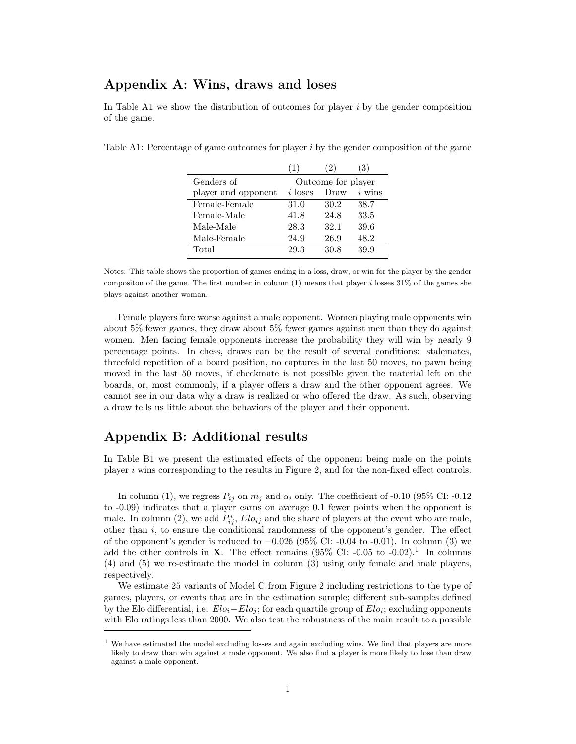## Appendix A: Wins, draws and loses

In Table A1 we show the distribution of outcomes for player  $i$  by the gender composition of the game.

Table A1: Percentage of game outcomes for player i by the gender composition of the game

|                     | $\perp$   |                    |          |
|---------------------|-----------|--------------------|----------|
| Genders of          |           | Outcome for player |          |
| player and opponent | $i$ loses | Draw               | $i$ wins |
| Female-Female       | 31.0      | 30.2               | 38.7     |
| Female-Male         | 41.8      | 24.8               | 33.5     |
| Male-Male           | 28.3      | 32.1               | 39.6     |
| Male-Female         | 24.9      | 26.9               | 48.2     |
| Total               | 29.3      | 30.8               | 39.9     |

Notes: This table shows the proportion of games ending in a loss, draw, or win for the player by the gender compositon of the game. The first number in column  $(1)$  means that player i losses 31% of the games she plays against another woman.

Female players fare worse against a male opponent. Women playing male opponents win about 5% fewer games, they draw about 5% fewer games against men than they do against women. Men facing female opponents increase the probability they will win by nearly 9 percentage points. In chess, draws can be the result of several conditions: stalemates, threefold repetition of a board position, no captures in the last 50 moves, no pawn being moved in the last 50 moves, if checkmate is not possible given the material left on the boards, or, most commonly, if a player offers a draw and the other opponent agrees. We cannot see in our data why a draw is realized or who offered the draw. As such, observing a draw tells us little about the behaviors of the player and their opponent.

## Appendix B: Additional results

In Table B1 we present the estimated effects of the opponent being male on the points player  $i$  wins corresponding to the results in Figure 2, and for the non-fixed effect controls.

In column (1), we regress  $P_{ij}$  on  $m_j$  and  $\alpha_i$  only. The coefficient of -0.10 (95% CI: -0.12) to -0.09) indicates that a player earns on average 0.1 fewer points when the opponent is male. In column (2), we add  $P_{ij}^*, \overline{Elo_{ij}}$  and the share of players at the event who are male, other than  $i$ , to ensure the conditional randomness of the opponent's gender. The effect of the opponent's gender is reduced to  $-0.026$  (95% CI:  $-0.04$  to  $-0.01$ ). In column (3) we add the other controls in **X**. The effect remains  $(95\% \text{ CI: } -0.05 \text{ to } -0.02).$ <sup>1</sup> In columns (4) and (5) we re-estimate the model in column (3) using only female and male players, respectively.

We estimate 25 variants of Model C from Figure 2 including restrictions to the type of games, players, or events that are in the estimation sample; different sub-samples defined by the Elo differential, i.e.  $Elo_i-Elo_j$ ; for each quartile group of  $Elo_i$ ; excluding opponents with Elo ratings less than 2000. We also test the robustness of the main result to a possible

<sup>&</sup>lt;sup>1</sup> We have estimated the model excluding losses and again excluding wins. We find that players are more likely to draw than win against a male opponent. We also find a player is more likely to lose than draw against a male opponent.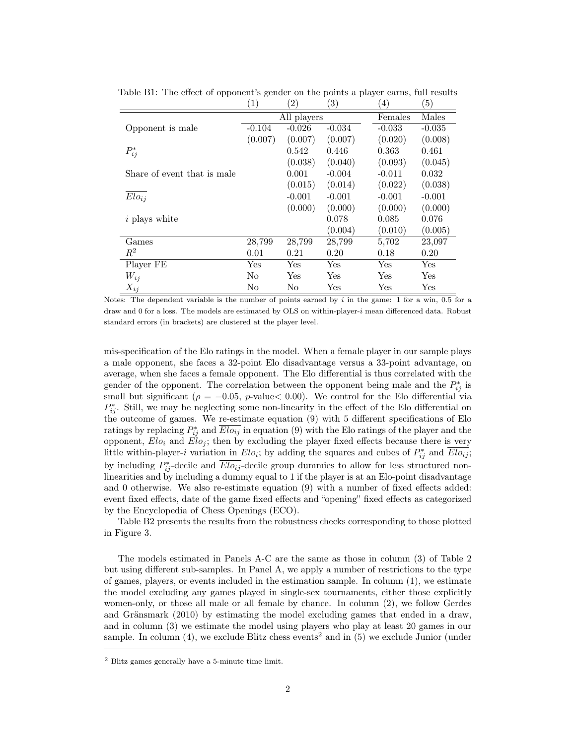|                             | $\left( 1\right)$ | $\left( 2\right)$    | $\left(3\right)$     | $\left(4\right)$ | (5)      |
|-----------------------------|-------------------|----------------------|----------------------|------------------|----------|
|                             | All players       |                      |                      | Females          | Males    |
| Opponent is male            | $-0.104$          | $-0.026$             | $-0.034$             | $-0.033$         | $-0.035$ |
|                             | (0.007)           | (0.007)              | (0.007)              | (0.020)          | (0.008)  |
| $P_{ij}^*$                  |                   | 0.542                | 0.446                | 0.363            | 0.461    |
|                             |                   | (0.038)              | (0.040)              | (0.093)          | (0.045)  |
| Share of event that is male |                   | 0.001                | $-0.004$             | $-0.011$         | 0.032    |
|                             |                   | (0.015)              | (0.014)              | (0.022)          | (0.038)  |
| Elo <sub>ij</sub>           |                   | $-0.001$             | $-0.001$             | $-0.001$         | $-0.001$ |
|                             |                   | (0.000)              | (0.000)              | (0.000)          | (0.000)  |
| <i>i</i> plays white        |                   |                      | 0.078                | 0.085            | 0.076    |
|                             |                   |                      | (0.004)              | (0.010)          | (0.005)  |
| Games                       | 28,799            | 28,799               | 28,799               | 5,702            | 23,097   |
| $R^2$                       | 0.01              | 0.21                 | 0.20                 | 0.18             | 0.20     |
| Player FE                   | Yes               | $\operatorname{Yes}$ | Yes                  | Yes              | Yes      |
| $W_{ij}$                    | No                | Yes                  | Yes                  | Yes              | Yes      |
| $X_{ij}$                    | No                | No                   | $\operatorname{Yes}$ | Yes              | Yes      |

Table B1: The effect of opponent's gender on the points a player earns, full results

Notes: The dependent variable is the number of points earned by  $i$  in the game: 1 for a win,  $0.5$  for a draw and 0 for a loss. The models are estimated by OLS on within-player-i mean differenced data. Robust standard errors (in brackets) are clustered at the player level.

mis-specification of the Elo ratings in the model. When a female player in our sample plays a male opponent, she faces a 32-point Elo disadvantage versus a 33-point advantage, on average, when she faces a female opponent. The Elo differential is thus correlated with the gender of the opponent. The correlation between the opponent being male and the  $P_{ij}^*$  is small but significant ( $\rho = -0.05$ , p-value $< 0.00$ ). We control for the Elo differential via  $P_{ij}^*$ . Still, we may be neglecting some non-linearity in the effect of the Elo differential on the outcome of games. We re-estimate equation (9) with 5 different specifications of Elo ratings by replacing  $P_{ij}^*$  and  $\overline{Elo_{ij}}$  in equation (9) with the Elo ratings of the player and the opponent,  $Elo_i$  and  $Elo_j$ ; then by excluding the player fixed effects because there is very little within-player-i variation in  $Elo_i$ ; by adding the squares and cubes of  $P_{ij}^*$  and  $\overline{Elo_{ij}}$ ; by including  $P_{ij}^*$ -decile and  $\overline{Elo_{ij}}$ -decile group dummies to allow for less structured nonlinearities and by including a dummy equal to 1 if the player is at an Elo-point disadvantage and 0 otherwise. We also re-estimate equation (9) with a number of fixed effects added: event fixed effects, date of the game fixed effects and "opening" fixed effects as categorized by the Encyclopedia of Chess Openings (ECO).

Table B2 presents the results from the robustness checks corresponding to those plotted in Figure 3.

The models estimated in Panels A-C are the same as those in column (3) of Table 2 but using different sub-samples. In Panel A, we apply a number of restrictions to the type of games, players, or events included in the estimation sample. In column (1), we estimate the model excluding any games played in single-sex tournaments, either those explicitly women-only, or those all male or all female by chance. In column (2), we follow Gerdes and Gränsmark (2010) by estimating the model excluding games that ended in a draw, and in column (3) we estimate the model using players who play at least 20 games in our sample. In column  $(4)$ , we exclude Blitz chess events<sup>2</sup> and in  $(5)$  we exclude Junior (under

<sup>2</sup> Blitz games generally have a 5-minute time limit.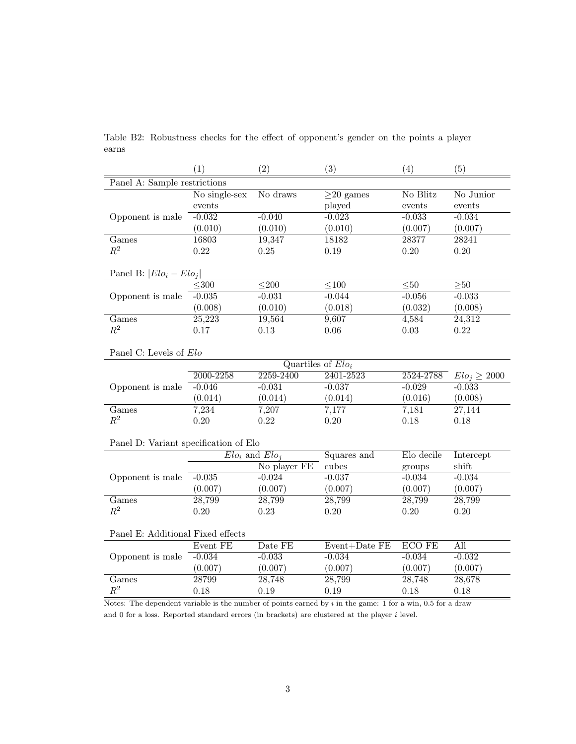|                                                                                                              | (1)           | (2)                  | (3)               | (4)           | (5)               |  |  |  |
|--------------------------------------------------------------------------------------------------------------|---------------|----------------------|-------------------|---------------|-------------------|--|--|--|
| Panel A: Sample restrictions                                                                                 |               |                      |                   |               |                   |  |  |  |
|                                                                                                              | No single-sex | No draws             | $\geq$ 20 games   | No Blitz      | No Junior         |  |  |  |
|                                                                                                              | events        |                      | played            | events        | events            |  |  |  |
| Opponent is male                                                                                             | $-0.032$      | $-0.040$             | $-0.023$          | $-0.033$      | $-0.034$          |  |  |  |
|                                                                                                              | (0.010)       | (0.010)              | (0.010)           | (0.007)       | (0.007)           |  |  |  |
| Games                                                                                                        | 16803         | 19,347               | 18182             | 28377         | 28241             |  |  |  |
| $\mathbb{R}^2$                                                                                               | 0.22          | 0.25                 | 0.19              | $0.20\,$      | $0.20\,$          |  |  |  |
|                                                                                                              |               |                      |                   |               |                   |  |  |  |
| Panel B: $ Elo_i - Elo_j $                                                                                   |               |                      |                   |               |                   |  |  |  |
|                                                                                                              | $<$ 300       | $\overline{200}$     | $\leq 100$        | $\leq 50$     | >150              |  |  |  |
| Opponent is male                                                                                             | $-0.035$      | $-0.031$             | $-0.044$          | $-0.056$      | $-0.033$          |  |  |  |
|                                                                                                              | (0.008)       | (0.010)              | (0.018)           | (0.032)       | (0.008)           |  |  |  |
| Games                                                                                                        | 25,223        | 19,564               | 9,607             | 4,584         | 24,312            |  |  |  |
| $\mathbb{R}^2$                                                                                               | 0.17          | 0.13                 | 0.06              | 0.03          | 0.22              |  |  |  |
|                                                                                                              |               |                      |                   |               |                   |  |  |  |
| Panel C: Levels of Elo                                                                                       |               |                      |                   |               |                   |  |  |  |
|                                                                                                              |               | Quartiles of $Elo_i$ |                   |               |                   |  |  |  |
|                                                                                                              | 2000-2258     | $2259 - 2400$        | 2401-2523         | 2524-2788     | $Elo_j \geq 2000$ |  |  |  |
| Opponent is male                                                                                             | $-0.046$      | $-0.031$             | $-0.037$          | $-0.029$      | $-0.033$          |  |  |  |
|                                                                                                              | (0.014)       | (0.014)              | (0.014)           | (0.016)       | (0.008)           |  |  |  |
| Games                                                                                                        | 7,234         | 7,207                | 7,177             | 7,181         | 27,144            |  |  |  |
| $\mathbb{R}^2$                                                                                               | 0.20          | 0.22                 | 0.20              | 0.18          | 0.18              |  |  |  |
|                                                                                                              |               |                      |                   |               |                   |  |  |  |
| Panel D: Variant specification of Elo                                                                        |               |                      |                   |               |                   |  |  |  |
|                                                                                                              |               | $Elo_i$ and $Elo_i$  | Squares and       | Elo decile    | Intercept         |  |  |  |
|                                                                                                              |               | No player FE         | cubes             | groups        | shift             |  |  |  |
| Opponent is male                                                                                             | $-0.035$      | $-0.024$             | $-0.037$          | $-0.034$      | $-0.034$          |  |  |  |
|                                                                                                              | (0.007)       | (0.007)              | (0.007)           | (0.007)       | (0.007)           |  |  |  |
| Games                                                                                                        | 28,799        | 28,799               | 28,799            | 28,799        | 28,799            |  |  |  |
| $\mathbb{R}^2$                                                                                               | 0.20          | 0.23                 | 0.20              | 0.20          | 0.20              |  |  |  |
|                                                                                                              |               |                      |                   |               |                   |  |  |  |
| Panel E: Additional Fixed effects                                                                            |               |                      |                   |               |                   |  |  |  |
|                                                                                                              | Event FE      | Date FE              | $Event+Date$ $FE$ | <b>ECO FE</b> | All               |  |  |  |
| Opponent is male                                                                                             | $-0.034$      | $-0.033$             | $-0.034$          | $-0.034$      | $-0.032$          |  |  |  |
|                                                                                                              | (0.007)       | (0.007)              | (0.007)           | (0.007)       | (0.007)           |  |  |  |
| Games                                                                                                        | 28799         | 28,748               | 28,799            | 28,748        | 28,678            |  |  |  |
| $\mathbb{R}^2$                                                                                               | 0.18          | 0.19                 | 0.19              | 0.18          | 0.18              |  |  |  |
| Notes: The dependent variable is the number of points earned by $i$ in the game: 1 for a win, 0.5 for a draw |               |                      |                   |               |                   |  |  |  |

Table B2: Robustness checks for the effect of opponent's gender on the points a player earns

and 0 for a loss. Reported standard errors (in brackets) are clustered at the player  $i$  level.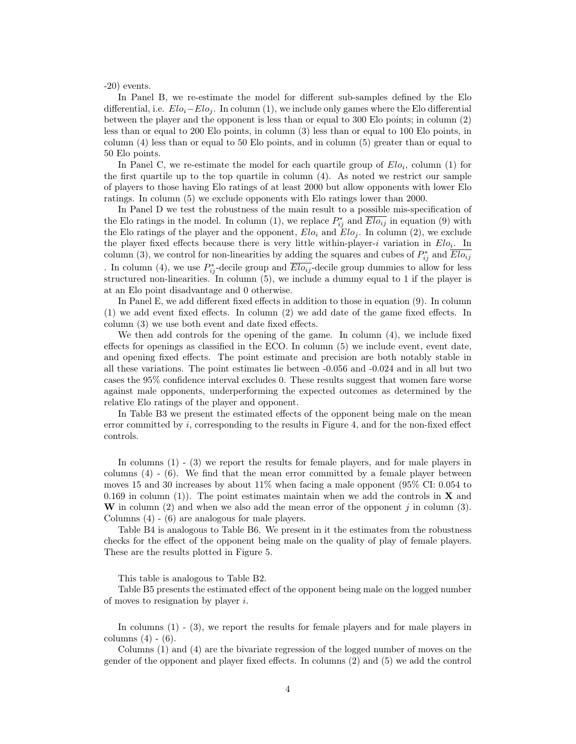-20) events.

In Panel B, we re-estimate the model for different sub-samples defined by the Elo differential, i.e.  $Elo_i-Elo_i$ . In column (1), we include only games where the Elo differential between the player and the opponent is less than or equal to 300 Elo points; in column (2) less than or equal to 200 Elo points, in column (3) less than or equal to 100 Elo points, in column (4) less than or equal to 50 Elo points, and in column (5) greater than or equal to 50 Elo points.

In Panel C, we re-estimate the model for each quartile group of  $Elo_i$ , column (1) for the first quartile up to the top quartile in column (4). As noted we restrict our sample of players to those having Elo ratings of at least 2000 but allow opponents with lower Elo ratings. In column (5) we exclude opponents with Elo ratings lower than 2000.

In Panel D we test the robustness of the main result to a possible mis-specification of the Elo ratings in the model. In column (1), we replace  $P_{ij}^*$  and  $\overline{Elo_{ij}}$  in equation (9) with the Elo ratings of the player and the opponent,  $Elo_i$  and  $Elo_j$ . In column (2), we exclude the player fixed effects because there is very little within-player-i variation in  $Elo_i$ . In column (3), we control for non-linearities by adding the squares and cubes of  $P_{ij}^*$  and  $\overline{Elo_{ij}}$ . In column (4), we use  $P_{ij}^*$ -decile group and  $\overline{Elo_{ij}}$ -decile group dummies to allow for less structured non-linearities. In column (5), we include a dummy equal to 1 if the player is at an Elo point disadvantage and 0 otherwise.

In Panel E, we add different fixed effects in addition to those in equation (9). In column (1) we add event fixed effects. In column (2) we add date of the game fixed effects. In column (3) we use both event and date fixed effects.

We then add controls for the opening of the game. In column (4), we include fixed effects for openings as classified in the ECO. In column (5) we include event, event date, and opening fixed effects. The point estimate and precision are both notably stable in all these variations. The point estimates lie between -0.056 and -0.024 and in all but two cases the 95% confidence interval excludes 0. These results suggest that women fare worse against male opponents, underperforming the expected outcomes as determined by the relative Elo ratings of the player and opponent.

In Table B3 we present the estimated effects of the opponent being male on the mean error committed by i, corresponding to the results in Figure 4, and for the non-fixed effect controls.

In columns (1) - (3) we report the results for female players, and for male players in columns  $(4)$  -  $(6)$ . We find that the mean error committed by a female player between moves 15 and 30 increases by about 11% when facing a male opponent (95% CI: 0.054 to 0.169 in column (1)). The point estimates maintain when we add the controls in  $X$  and W in column  $(2)$  and when we also add the mean error of the opponent j in column  $(3)$ . Columns (4) - (6) are analogous for male players.

Table B4 is analogous to Table B6. We present in it the estimates from the robustness checks for the effect of the opponent being male on the quality of play of female players. These are the results plotted in Figure 5.

This table is analogous to Table B2.

Table B5 presents the estimated effect of the opponent being male on the logged number of moves to resignation by player  $i$ .

In columns (1) - (3), we report the results for female players and for male players in columns  $(4) - (6)$ .

Columns (1) and (4) are the bivariate regression of the logged number of moves on the gender of the opponent and player fixed effects. In columns (2) and (5) we add the control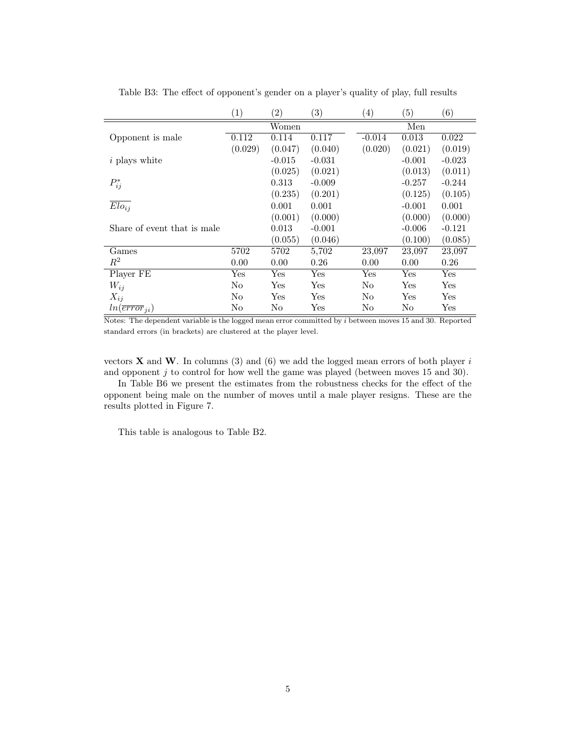|                             | $\left( 1\right)$ | $\left( 2\right)$ | $\left( 3\right)$ | $\left( 4\right)$ | $\left(5\right)$ | (6)                  |
|-----------------------------|-------------------|-------------------|-------------------|-------------------|------------------|----------------------|
|                             |                   | Women             |                   | Men               |                  |                      |
| Opponent is male            | 0.112             | 0.114             | 0.117             | $-0.014$          | 0.013            | 0.022                |
|                             | (0.029)           | (0.047)           | (0.040)           | (0.020)           | (0.021)          | (0.019)              |
| $i$ plays white             |                   | $-0.015$          | $-0.031$          |                   | $-0.001$         | $-0.023$             |
|                             |                   | (0.025)           | (0.021)           |                   | (0.013)          | (0.011)              |
| $P_{ij}^*$                  |                   | 0.313             | $-0.009$          |                   | $-0.257$         | $-0.244$             |
|                             |                   | (0.235)           | (0.201)           |                   | (0.125)          | (0.105)              |
| $\overline{Elo_{ij}}$       |                   | 0.001             | 0.001             |                   | $-0.001$         | 0.001                |
|                             |                   | (0.001)           | (0.000)           |                   | (0.000)          | (0.000)              |
| Share of event that is male |                   | 0.013             | $-0.001$          |                   | $-0.006$         | $-0.121$             |
|                             |                   | (0.055)           | (0.046)           |                   | (0.100)          | (0.085)              |
| Games                       | 5702              | 5702              | 5,702             | 23,097            | 23,097           | 23,097               |
| $\,R^2$                     | 0.00              | 0.00              | 0.26              | 0.00              | 0.00             | 0.26                 |
| Player FE                   | Yes               | Yes               | Yes               | Yes               | Yes              | Yes                  |
| $W_{ij}$                    | N <sub>o</sub>    | Yes               | Yes               | N <sub>o</sub>    | Yes              | Yes                  |
| $X_{ij}$                    | N <sub>o</sub>    | Yes               | Yes               | No                | Yes              | Yes                  |
| $ln(\overline{error}_{ii})$ | No                | No                | Yes               | No                | No               | $\operatorname{Yes}$ |

Table B3: The effect of opponent's gender on a player's quality of play, full results

Notes: The dependent variable is the logged mean error committed by i between moves 15 and 30. Reported standard errors (in brackets) are clustered at the player level.

vectors  $X$  and  $W$ . In columns (3) and (6) we add the logged mean errors of both player  $i$ and opponent j to control for how well the game was played (between moves 15 and 30).

In Table B6 we present the estimates from the robustness checks for the effect of the opponent being male on the number of moves until a male player resigns. These are the results plotted in Figure 7.

This table is analogous to Table B2.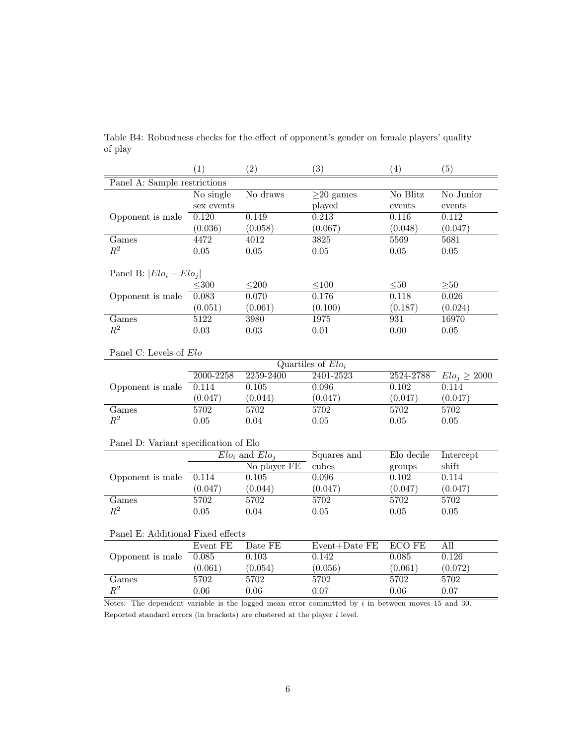|                                                                                                     | (1)                 | (2)                 | (3)                  | (4)             | (5)               |  |  |
|-----------------------------------------------------------------------------------------------------|---------------------|---------------------|----------------------|-----------------|-------------------|--|--|
| Panel A: Sample restrictions                                                                        |                     |                     |                      |                 |                   |  |  |
|                                                                                                     | No single           | No draws            | $\geq$ 20 games      | No Blitz        | No Junior         |  |  |
|                                                                                                     | $\,\rm{sex}$ events |                     | played               | events          | events            |  |  |
| Opponent is male                                                                                    | 0.120               | 0.149               | 0.213                | 0.116           | 0.112             |  |  |
|                                                                                                     | (0.036)             | (0.058)             | (0.067)              | (0.048)         | (0.047)           |  |  |
| Games                                                                                               | 4472                | $\frac{4012}{ }$    | 3825                 | 5569            | 5681              |  |  |
| $R^2$                                                                                               | 0.05                | $0.05\,$            | $0.05\,$             | 0.05            | $0.05\,$          |  |  |
|                                                                                                     |                     |                     |                      |                 |                   |  |  |
| Panel B: $ Elo_i - Elo_j $                                                                          |                     |                     |                      |                 |                   |  |  |
|                                                                                                     | $\overline{<}300$   | $\overline{<}200$   | $\overline{<}100$    | $\overline{50}$ | >50               |  |  |
| Opponent is male                                                                                    | 0.083               | 0.070               | 0.176                | 0.118           | 0.026             |  |  |
|                                                                                                     | (0.051)             | (0.061)             | (0.100)              | (0.187)         | (0.024)           |  |  |
| Games                                                                                               | 5122                | 3980                | 1975                 | 931             | 16970             |  |  |
| $R^2$                                                                                               | $\rm 0.03$          | $0.03\,$            | $0.01\,$             | 0.00            | $0.05\,$          |  |  |
|                                                                                                     |                     |                     |                      |                 |                   |  |  |
| Panel C: Levels of Elo                                                                              |                     |                     |                      |                 |                   |  |  |
|                                                                                                     |                     |                     | Quartiles of $Elo_i$ |                 |                   |  |  |
|                                                                                                     | 2000-2258           | 2259-2400           | 2401-2523            | 2524-2788       | $Elo_j \geq 2000$ |  |  |
| Opponent is male                                                                                    | 0.114               | 0.105               | 0.096                | 0.102           | 0.114             |  |  |
|                                                                                                     | (0.047)             | (0.044)             | (0.047)              | (0.047)         | (0.047)           |  |  |
| Games                                                                                               | 5702                | 5702                | 5702                 | 5702            | 5702              |  |  |
| $\mathbb{R}^2$                                                                                      | 0.05                | 0.04                | $0.05\,$             | $0.05\,$        | 0.05              |  |  |
|                                                                                                     |                     |                     |                      |                 |                   |  |  |
| Panel D: Variant specification of Elo                                                               |                     |                     |                      |                 |                   |  |  |
|                                                                                                     |                     | $Elo_i$ and $Elo_i$ | Squares and          | Elo decile      | Intercept         |  |  |
|                                                                                                     |                     | No player FE        | cubes                | groups          | shift             |  |  |
| Opponent is male                                                                                    | 0.114               | 0.105               | 0.096                | 0.102           | 0.114             |  |  |
|                                                                                                     | (0.047)             | (0.044)             | (0.047)              | (0.047)         | (0.047)           |  |  |
| Games                                                                                               | 5702                | 5702                | 5702                 | 5702            | 5702              |  |  |
| $R^2$                                                                                               | $0.05\,$            | 0.04                | $0.05\,$             | 0.05            | $0.05\,$          |  |  |
|                                                                                                     |                     |                     |                      |                 |                   |  |  |
| Panel E: Additional Fixed effects                                                                   |                     |                     |                      |                 |                   |  |  |
|                                                                                                     | Event FE            | Date FE             | $Event+Date$ $FE$    | <b>ECO FE</b>   | All               |  |  |
| Opponent is male                                                                                    | 0.085               | 0.103               | 0.142                | 0.085           | 0.126             |  |  |
|                                                                                                     | (0.061)             | (0.054)             | (0.056)              | (0.061)         | (0.072)           |  |  |
| Games                                                                                               | 5702                | 5702                | 5702                 | 5702            | 5702              |  |  |
| $R^2$                                                                                               | 0.06                | 0.06                | 0.07                 | 0.06            | 0.07              |  |  |
| Notes: The dependent variable is the logged mean error committed by $i$ in between moves 15 and 30. |                     |                     |                      |                 |                   |  |  |

Table B4: Robustness checks for the effect of opponent's gender on female players' quality of play

Reported standard errors (in brackets) are clustered at the player  $i$  level.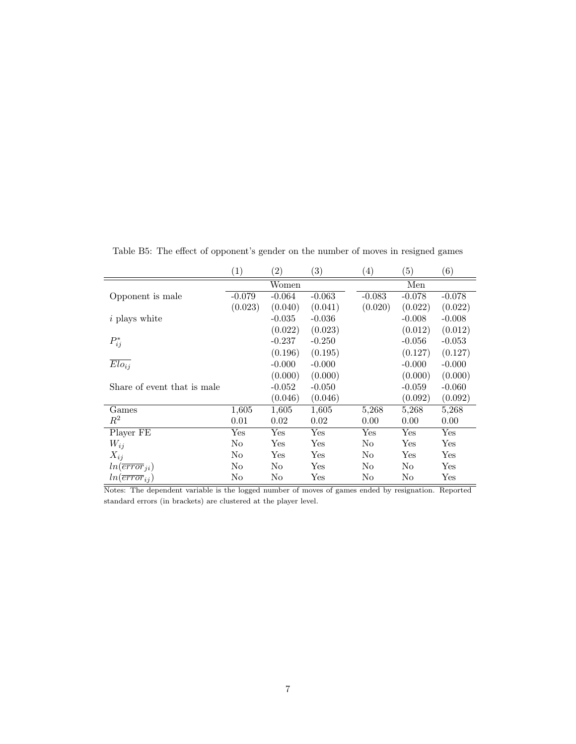|                             | $\left( 1\right)$    | $\left( 2\right)$    | $\left( 3\right)$ | $\left( 4\right)$ | (5)      | $\left(6\right)$     |  |
|-----------------------------|----------------------|----------------------|-------------------|-------------------|----------|----------------------|--|
|                             |                      | Women                |                   | Men               |          |                      |  |
| Opponent is male            | $-0.079$             | $-0.064$             | $-0.063$          | $-0.083$          | $-0.078$ | $-0.078$             |  |
|                             | (0.023)              | (0.040)              | (0.041)           | (0.020)           | (0.022)  | (0.022)              |  |
| <i>i</i> plays white        |                      | $-0.035$             | $-0.036$          |                   | $-0.008$ | $-0.008$             |  |
|                             |                      | (0.022)              | (0.023)           |                   | (0.012)  | (0.012)              |  |
| $P_{ij}^*$                  |                      | $-0.237$             | $-0.250$          |                   | $-0.056$ | $-0.053$             |  |
|                             |                      | (0.196)              | (0.195)           |                   | (0.127)  | (0.127)              |  |
| $Elo_{ij}$                  |                      | $-0.000$             | $-0.000$          |                   | $-0.000$ | $-0.000$             |  |
|                             |                      | (0.000)              | (0.000)           |                   | (0.000)  | (0.000)              |  |
| Share of event that is male |                      | $-0.052$             | $-0.050$          |                   | $-0.059$ | $-0.060$             |  |
|                             |                      | (0.046)              | (0.046)           |                   | (0.092)  | (0.092)              |  |
| Games                       | 1,605                | 1,605                | 1,605             | 5,268             | 5,268    | 5,268                |  |
| $\,R^2$                     | 0.01                 | 0.02                 | 0.02              | 0.00              | 0.00     | 0.00                 |  |
| Player FE                   | $\operatorname{Yes}$ | $\operatorname{Yes}$ | Yes               | Yes               | Yes      | $\operatorname{Yes}$ |  |
| $W_{ij}$                    | No                   | $_{\rm Yes}$         | Yes               | No                | Yes      | $\operatorname{Yes}$ |  |
| $X_{ij}$                    | No                   | Yes                  | Yes               | No                | Yes      | $\operatorname{Yes}$ |  |
| $ln(\overline{error}_{ii})$ | No                   | No                   | Yes               | No                | No       | Yes                  |  |
| $ln(\overline{error}_{ij})$ | No                   | No                   | Yes               | No                | No       | $\operatorname{Yes}$ |  |

Table B5: The effect of opponent's gender on the number of moves in resigned games

Notes: The dependent variable is the logged number of moves of games ended by resignation. Reported standard errors (in brackets) are clustered at the player level.